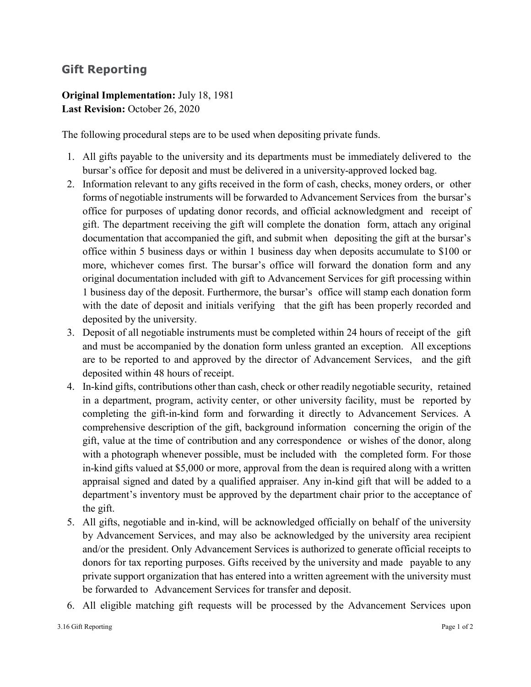## **Gift Reporting**

## **Original Implementation:** July 18, 1981 **Last Revision:** October 26, 2020

The following procedural steps are to be used when depositing private funds.

- 1. All gifts payable to the university and its departments must be immediately delivered to the bursar's office for deposit and must be delivered in a university-approved locked bag.
- 2. Information relevant to any gifts received in the form of cash, checks, money orders, or other forms of negotiable instruments will be forwarded to Advancement Services from the bursar's office for purposes of updating donor records, and official acknowledgment and receipt of gift. The department receiving the gift will complete the donation form, attach any original documentation that accompanied the gift, and submit when depositing the gift at the bursar's office within 5 business days or within 1 business day when deposits accumulate to \$100 or more, whichever comes first. The bursar's office will forward the donation form and any original documentation included with gift to Advancement Services for gift processing within 1 business day of the deposit. Furthermore, the bursar's office will stamp each donation form with the date of deposit and initials verifying that the gift has been properly recorded and deposited by the university.
- 3. Deposit of all negotiable instruments must be completed within 24 hours of receipt of the gift and must be accompanied by the donation form unless granted an exception. All exceptions are to be reported to and approved by the director of Advancement Services, and the gift deposited within 48 hours of receipt.
- 4. In-kind gifts, contributions other than cash, check or other readily negotiable security, retained in a department, program, activity center, or other university facility, must be reported by completing the gift-in-kind form and forwarding it directly to Advancement Services. A comprehensive description of the gift, background information concerning the origin of the gift, value at the time of contribution and any correspondence or wishes of the donor, along with a photograph whenever possible, must be included with the completed form. For those in-kind gifts valued at \$5,000 or more, approval from the dean is required along with a written appraisal signed and dated by a qualified appraiser. Any in-kind gift that will be added to a department's inventory must be approved by the department chair prior to the acceptance of the gift.
- 5. All gifts, negotiable and in-kind, will be acknowledged officially on behalf of the university by Advancement Services, and may also be acknowledged by the university area recipient and/or the president. Only Advancement Services is authorized to generate official receipts to donors for tax reporting purposes. Gifts received by the university and made payable to any private support organization that has entered into a written agreement with the university must be forwarded to Advancement Services for transfer and deposit.
- 6. All eligible matching gift requests will be processed by the Advancement Services upon